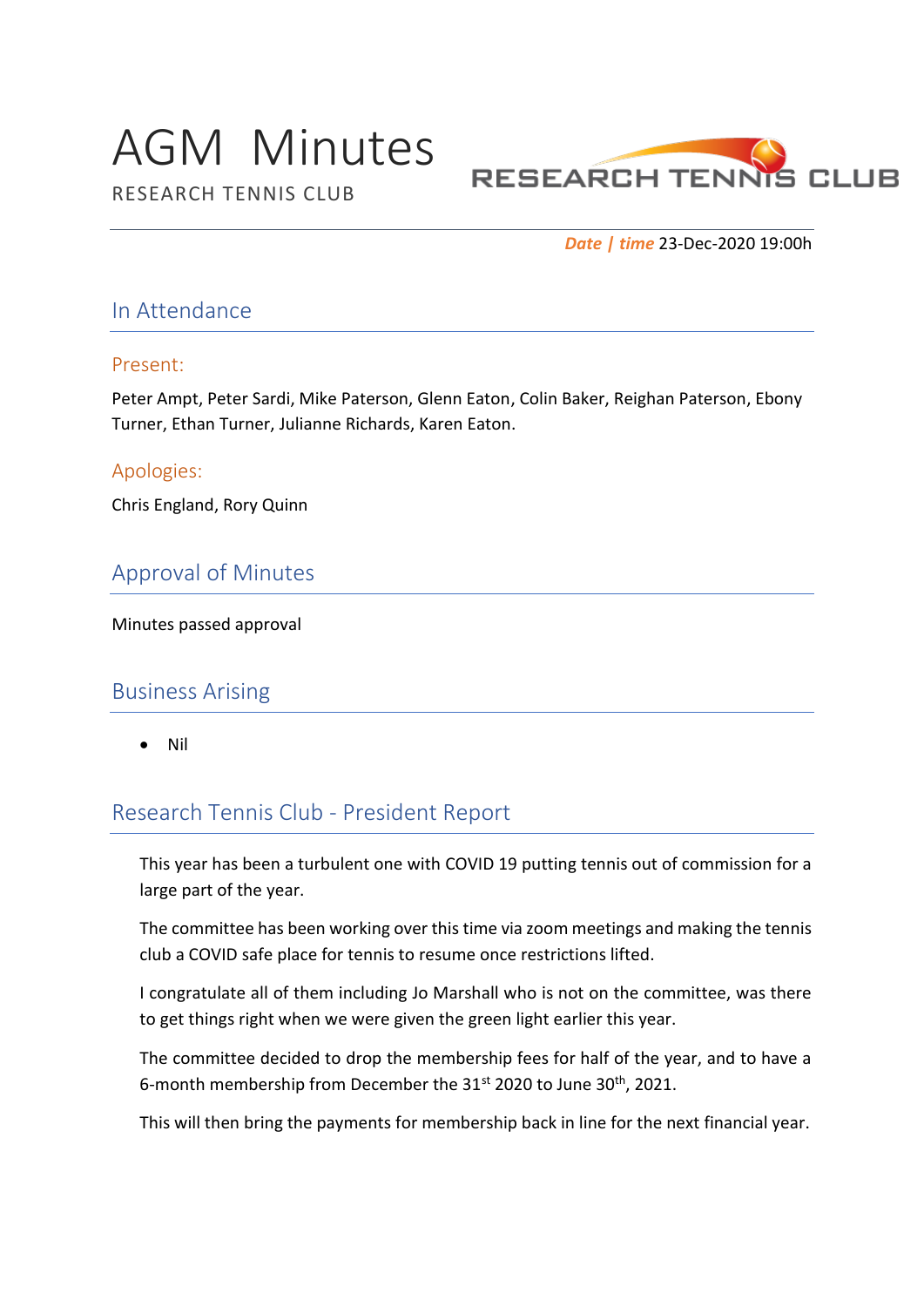# AGM Minutes



RESEARCH TENNIS CLUB

*Date | time* 23-Dec-2020 19:00h

#### In Attendance

#### Present:

Peter Ampt, Peter Sardi, Mike Paterson, Glenn Eaton, Colin Baker, Reighan Paterson, Ebony Turner, Ethan Turner, Julianne Richards, Karen Eaton.

#### Apologies:

Chris England, Rory Quinn

## Approval of Minutes

Minutes passed approval

#### Business Arising

• Nil

## Research Tennis Club - President Report

This year has been a turbulent one with COVID 19 putting tennis out of commission for a large part of the year.

The committee has been working over this time via zoom meetings and making the tennis club a COVID safe place for tennis to resume once restrictions lifted.

I congratulate all of them including Jo Marshall who is not on the committee, was there to get things right when we were given the green light earlier this year.

The committee decided to drop the membership fees for half of the year, and to have a 6-month membership from December the 31st 2020 to June 30<sup>th</sup>, 2021.

This will then bring the payments for membership back in line for the next financial year.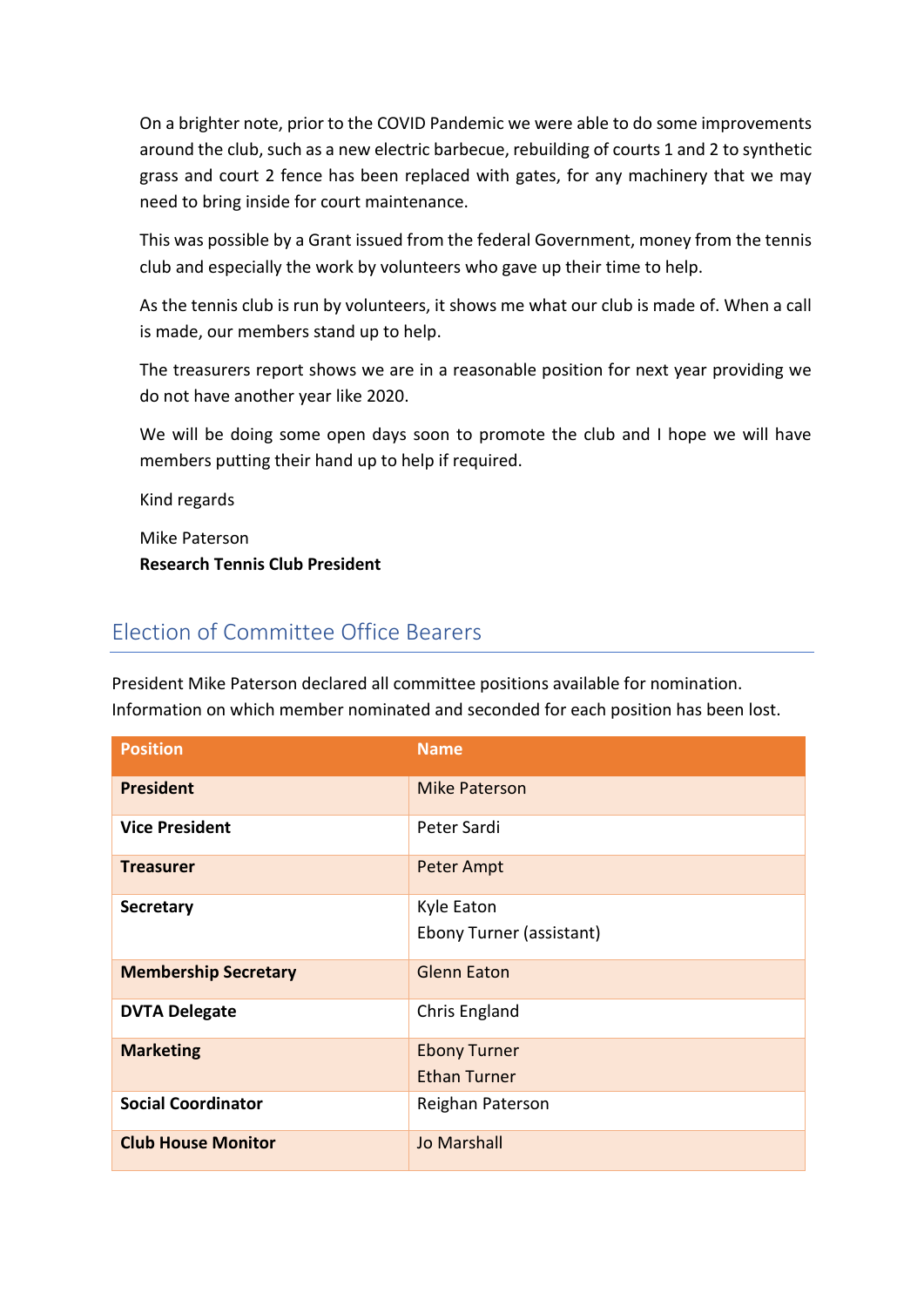On a brighter note, prior to the COVID Pandemic we were able to do some improvements around the club, such as a new electric barbecue, rebuilding of courts 1 and 2 to synthetic grass and court 2 fence has been replaced with gates, for any machinery that we may need to bring inside for court maintenance.

This was possible by a Grant issued from the federal Government, money from the tennis club and especially the work by volunteers who gave up their time to help.

As the tennis club is run by volunteers, it shows me what our club is made of. When a call is made, our members stand up to help.

The treasurers report shows we are in a reasonable position for next year providing we do not have another year like 2020.

We will be doing some open days soon to promote the club and I hope we will have members putting their hand up to help if required.

Kind regards

Mike Paterson

**Research Tennis Club President**

## Election of Committee Office Bearers

President Mike Paterson declared all committee positions available for nomination. Information on which member nominated and seconded for each position has been lost.

| <b>Position</b>             | <b>Name</b>              |
|-----------------------------|--------------------------|
| <b>President</b>            | <b>Mike Paterson</b>     |
| <b>Vice President</b>       | Peter Sardi              |
| <b>Treasurer</b>            | <b>Peter Ampt</b>        |
| <b>Secretary</b>            | Kyle Eaton               |
|                             | Ebony Turner (assistant) |
| <b>Membership Secretary</b> | <b>Glenn Eaton</b>       |
| <b>DVTA Delegate</b>        | Chris England            |
| <b>Marketing</b>            | <b>Ebony Turner</b>      |
|                             | <b>Ethan Turner</b>      |
| <b>Social Coordinator</b>   | Reighan Paterson         |
| <b>Club House Monitor</b>   | <b>Jo Marshall</b>       |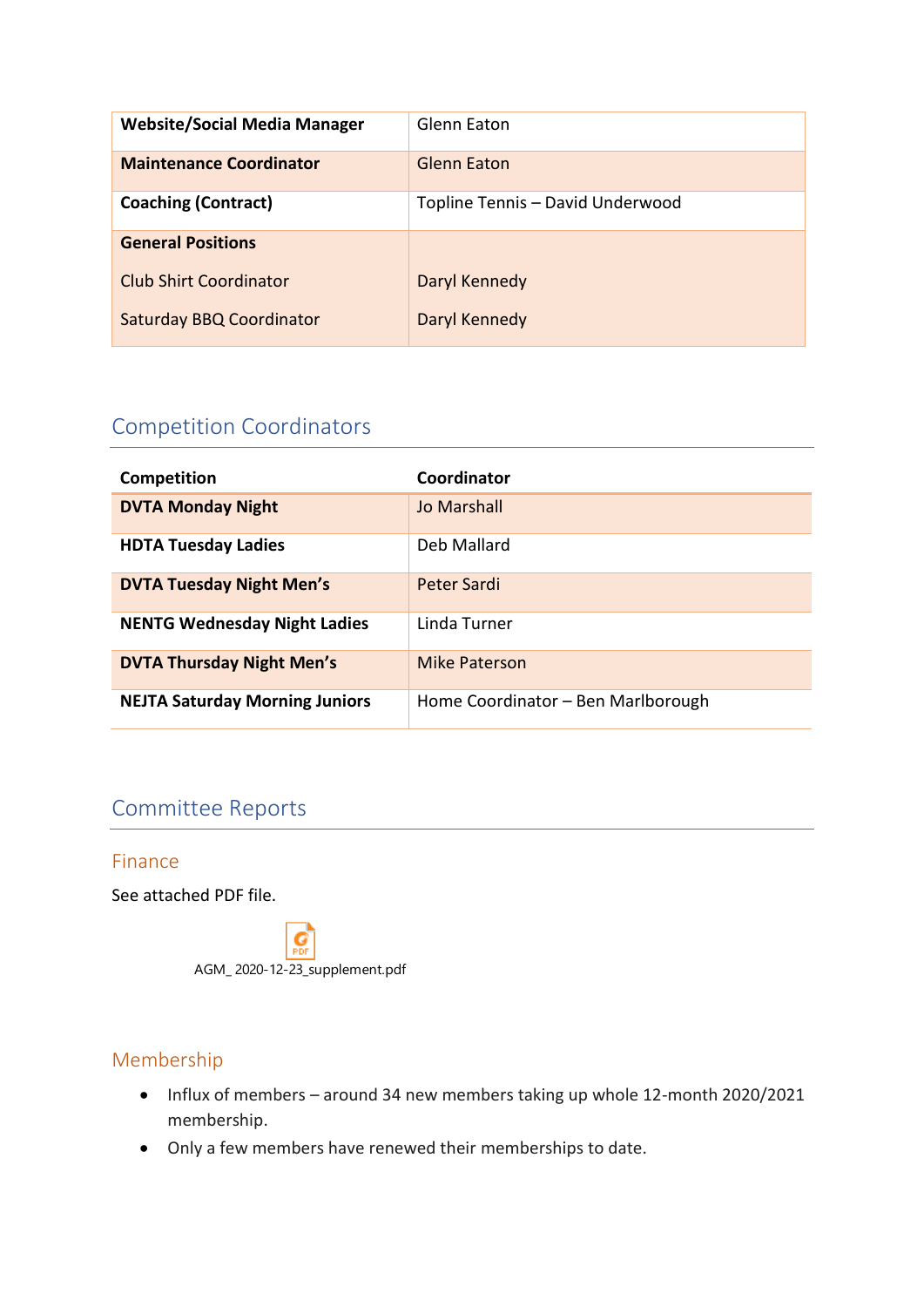| <b>Website/Social Media Manager</b> | Glenn Eaton                      |
|-------------------------------------|----------------------------------|
| <b>Maintenance Coordinator</b>      | <b>Glenn Eaton</b>               |
| <b>Coaching (Contract)</b>          | Topline Tennis - David Underwood |
| <b>General Positions</b>            |                                  |
| <b>Club Shirt Coordinator</b>       | Daryl Kennedy                    |
| <b>Saturday BBQ Coordinator</b>     | Daryl Kennedy                    |

# Competition Coordinators

| Competition                           | Coordinator                        |
|---------------------------------------|------------------------------------|
| <b>DVTA Monday Night</b>              | Jo Marshall                        |
| <b>HDTA Tuesday Ladies</b>            | Deb Mallard                        |
| <b>DVTA Tuesday Night Men's</b>       | Peter Sardi                        |
| <b>NENTG Wednesday Night Ladies</b>   | Linda Turner                       |
| <b>DVTA Thursday Night Men's</b>      | Mike Paterson                      |
| <b>NEJTA Saturday Morning Juniors</b> | Home Coordinator - Ben Marlborough |

## Committee Reports

#### Finance

See attached PDF file.

 $\overrightarrow{G}$ AGM\_ 2020-12-23\_supplement.pdf

#### Membership

- Influx of members around 34 new members taking up whole 12-month 2020/2021 membership.
- Only a few members have renewed their memberships to date.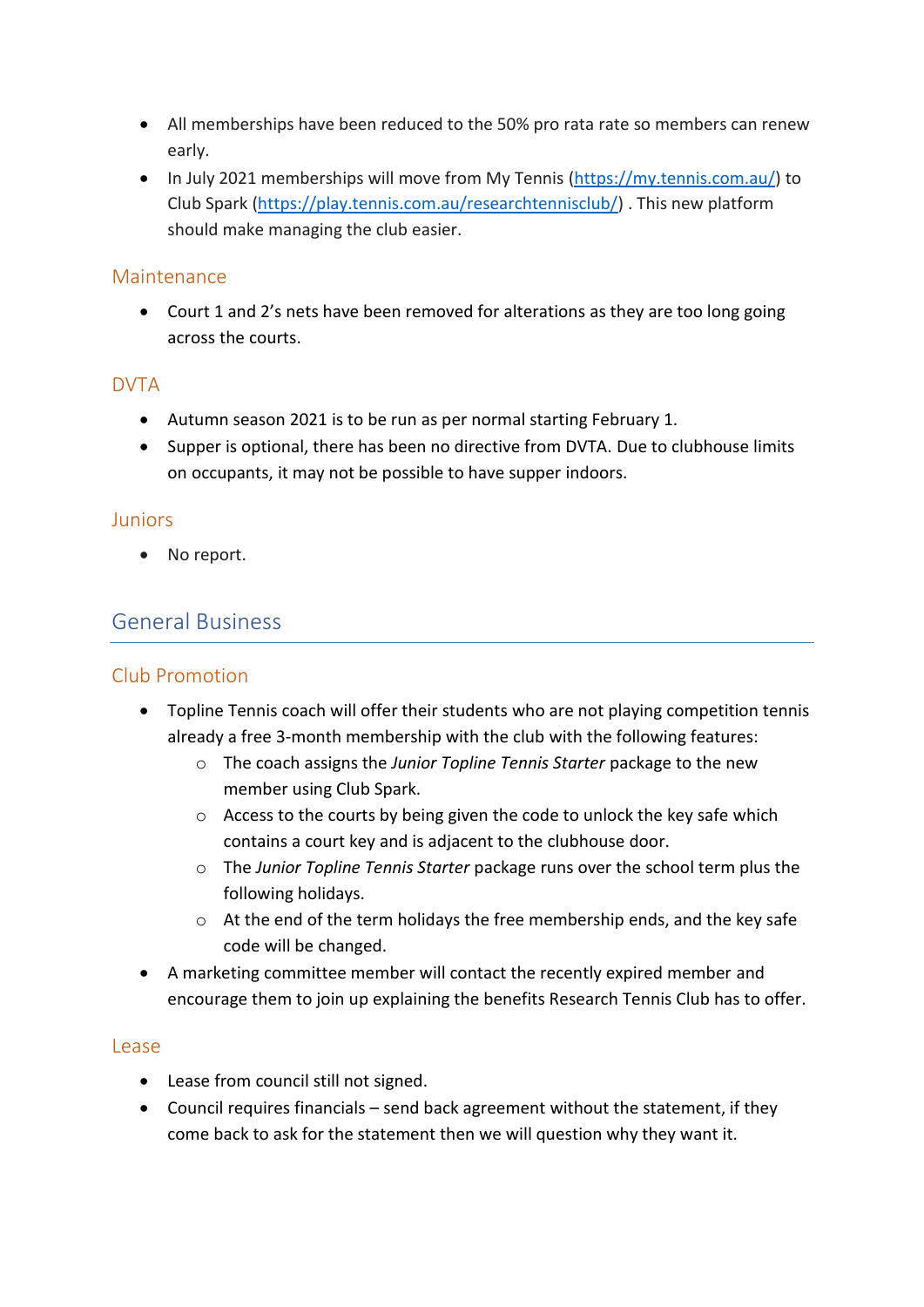- All memberships have been reduced to the 50% pro rata rate so members can renew early.
- In July 2021 memberships will move from My Tennis [\(https://my.tennis.com.au/\)](https://my.tennis.com.au/) to Club Spark [\(https://play.tennis.com.au/researchtennisclub/\)](https://play.tennis.com.au/researchtennisclub/) . This new platform should make managing the club easier.

#### Maintenance

• Court 1 and 2's nets have been removed for alterations as they are too long going across the courts.

#### DVTA

- Autumn season 2021 is to be run as per normal starting February 1.
- Supper is optional, there has been no directive from DVTA. Due to clubhouse limits on occupants, it may not be possible to have supper indoors.

#### Juniors

• No report.

### General Business

#### Club Promotion

- Topline Tennis coach will offer their students who are not playing competition tennis already a free 3-month membership with the club with the following features:
	- o The coach assigns the *Junior Topline Tennis Starter* package to the new member using Club Spark.
	- $\circ$  Access to the courts by being given the code to unlock the key safe which contains a court key and is adjacent to the clubhouse door.
	- o The *Junior Topline Tennis Starter* package runs over the school term plus the following holidays.
	- o At the end of the term holidays the free membership ends, and the key safe code will be changed.
- A marketing committee member will contact the recently expired member and encourage them to join up explaining the benefits Research Tennis Club has to offer.

#### Lease

- Lease from council still not signed.
- Council requires financials send back agreement without the statement, if they come back to ask for the statement then we will question why they want it.